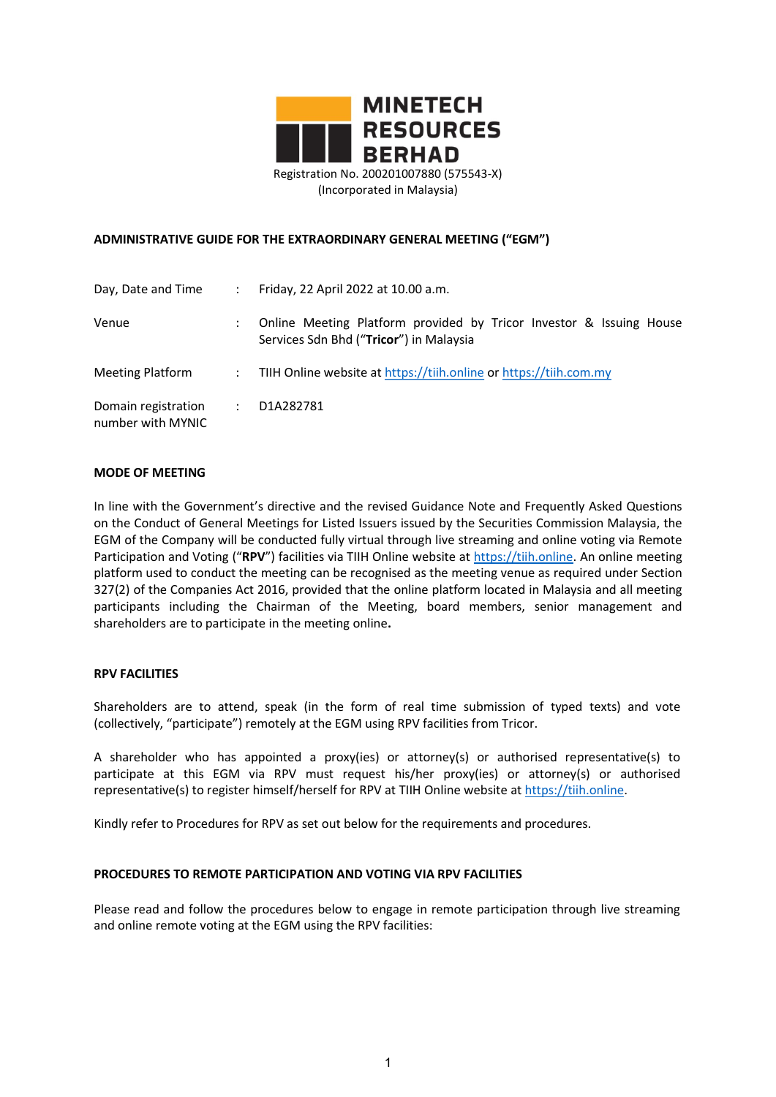

### ADMINISTRATIVE GUIDE FOR THE EXTRAORDINARY GENERAL MEETING ("EGM")

| Day, Date and Time                       |   | Friday, 22 April 2022 at 10.00 a.m.                                                                            |
|------------------------------------------|---|----------------------------------------------------------------------------------------------------------------|
| Venue                                    |   | Online Meeting Platform provided by Tricor Investor & Issuing House<br>Services Sdn Bhd ("Tricor") in Malaysia |
| Meeting Platform                         | ÷ | TIIH Online website at https://tiih.online or https://tiih.com.my                                              |
| Domain registration<br>number with MYNIC | ÷ | D1A282781                                                                                                      |

#### MODE OF MEETING

In line with the Government's directive and the revised Guidance Note and Frequently Asked Questions on the Conduct of General Meetings for Listed Issuers issued by the Securities Commission Malaysia, the EGM of the Company will be conducted fully virtual through live streaming and online voting via Remote Participation and Voting ("RPV") facilities via TIIH Online website at https://tiih.online. An online meeting platform used to conduct the meeting can be recognised as the meeting venue as required under Section 327(2) of the Companies Act 2016, provided that the online platform located in Malaysia and all meeting participants including the Chairman of the Meeting, board members, senior management and shareholders are to participate in the meeting online.

#### RPV FACILITIES

Shareholders are to attend, speak (in the form of real time submission of typed texts) and vote (collectively, "participate") remotely at the EGM using RPV facilities from Tricor.

A shareholder who has appointed a proxy(ies) or attorney(s) or authorised representative(s) to participate at this EGM via RPV must request his/her proxy(ies) or attorney(s) or authorised representative(s) to register himself/herself for RPV at TIIH Online website at https://tiih.online.

Kindly refer to Procedures for RPV as set out below for the requirements and procedures.

#### PROCEDURES TO REMOTE PARTICIPATION AND VOTING VIA RPV FACILITIES

Please read and follow the procedures below to engage in remote participation through live streaming and online remote voting at the EGM using the RPV facilities: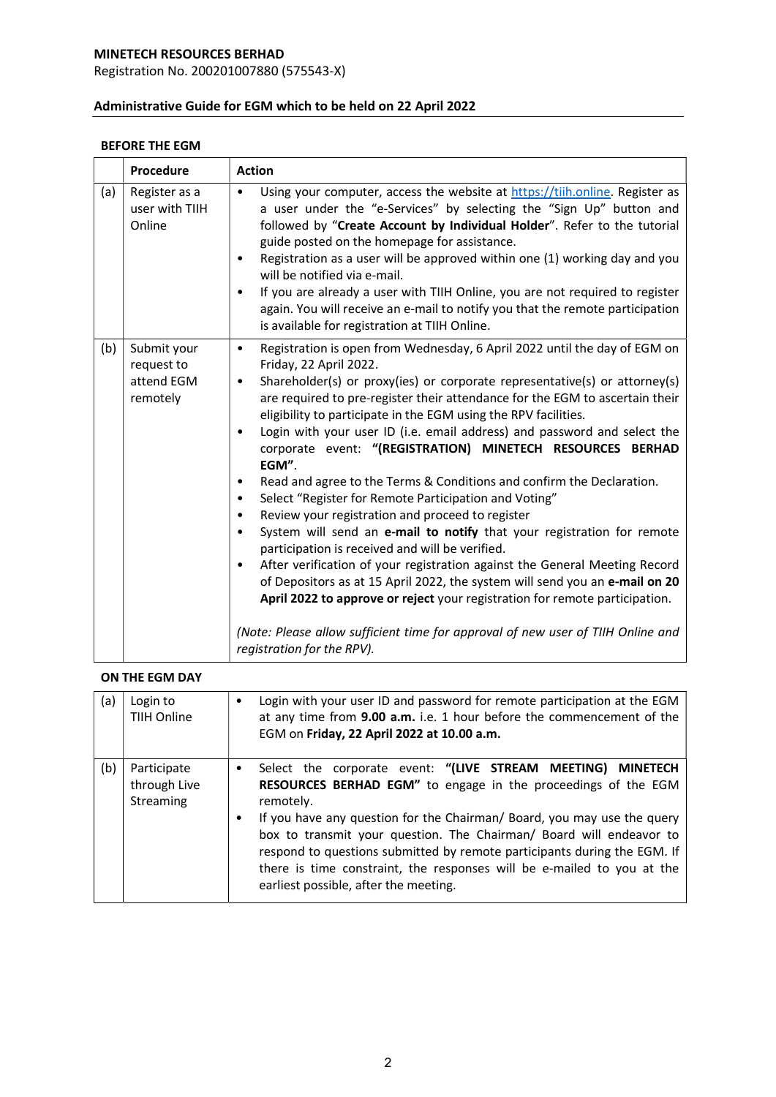Registration No. 200201007880 (575543-X)

# Administrative Guide for EGM which to be held on 22 April 2022

# BEFORE THE EGM

|     | Procedure                                           | <b>Action</b>                                                                                                                                                                                                                                                                                                                                                                                                                                                                                                                                                                                                                                                                                                                                                                                                                                                                                                                                                                                                                                                                                                                                                                                                                                                                   |  |  |
|-----|-----------------------------------------------------|---------------------------------------------------------------------------------------------------------------------------------------------------------------------------------------------------------------------------------------------------------------------------------------------------------------------------------------------------------------------------------------------------------------------------------------------------------------------------------------------------------------------------------------------------------------------------------------------------------------------------------------------------------------------------------------------------------------------------------------------------------------------------------------------------------------------------------------------------------------------------------------------------------------------------------------------------------------------------------------------------------------------------------------------------------------------------------------------------------------------------------------------------------------------------------------------------------------------------------------------------------------------------------|--|--|
| (a) | Register as a<br>user with TIIH<br>Online           | Using your computer, access the website at https://tiih.online. Register as<br>$\bullet$<br>a user under the "e-Services" by selecting the "Sign Up" button and<br>followed by "Create Account by Individual Holder". Refer to the tutorial<br>guide posted on the homepage for assistance.<br>Registration as a user will be approved within one (1) working day and you<br>$\bullet$<br>will be notified via e-mail.<br>If you are already a user with TIIH Online, you are not required to register<br>$\bullet$<br>again. You will receive an e-mail to notify you that the remote participation<br>is available for registration at TIIH Online.                                                                                                                                                                                                                                                                                                                                                                                                                                                                                                                                                                                                                           |  |  |
| (b) | Submit your<br>request to<br>attend EGM<br>remotely | Registration is open from Wednesday, 6 April 2022 until the day of EGM on<br>$\bullet$<br>Friday, 22 April 2022.<br>Shareholder(s) or proxy(ies) or corporate representative(s) or attorney(s)<br>$\bullet$<br>are required to pre-register their attendance for the EGM to ascertain their<br>eligibility to participate in the EGM using the RPV facilities.<br>Login with your user ID (i.e. email address) and password and select the<br>$\bullet$<br>corporate event: "(REGISTRATION) MINETECH RESOURCES BERHAD<br>EGM".<br>Read and agree to the Terms & Conditions and confirm the Declaration.<br>$\bullet$<br>Select "Register for Remote Participation and Voting"<br>$\bullet$<br>Review your registration and proceed to register<br>$\bullet$<br>System will send an e-mail to notify that your registration for remote<br>$\bullet$<br>participation is received and will be verified.<br>After verification of your registration against the General Meeting Record<br>$\bullet$<br>of Depositors as at 15 April 2022, the system will send you an e-mail on 20<br>April 2022 to approve or reject your registration for remote participation.<br>(Note: Please allow sufficient time for approval of new user of TIIH Online and<br>registration for the RPV). |  |  |

# ON THE EGM DAY

| (a) | Login to<br>TIIH Online                  | ٠      | Login with your user ID and password for remote participation at the EGM<br>at any time from 9.00 a.m. i.e. 1 hour before the commencement of the<br>EGM on Friday, 22 April 2022 at 10.00 a.m.                                                                                                                                                                                                                                                                                           |
|-----|------------------------------------------|--------|-------------------------------------------------------------------------------------------------------------------------------------------------------------------------------------------------------------------------------------------------------------------------------------------------------------------------------------------------------------------------------------------------------------------------------------------------------------------------------------------|
| (b) | Participate<br>through Live<br>Streaming | ٠<br>٠ | Select the corporate event: "(LIVE STREAM MEETING) MINETECH<br>RESOURCES BERHAD EGM" to engage in the proceedings of the EGM<br>remotely.<br>If you have any question for the Chairman/Board, you may use the query<br>box to transmit your question. The Chairman/ Board will endeavor to<br>respond to questions submitted by remote participants during the EGM. If<br>there is time constraint, the responses will be e-mailed to you at the<br>earliest possible, after the meeting. |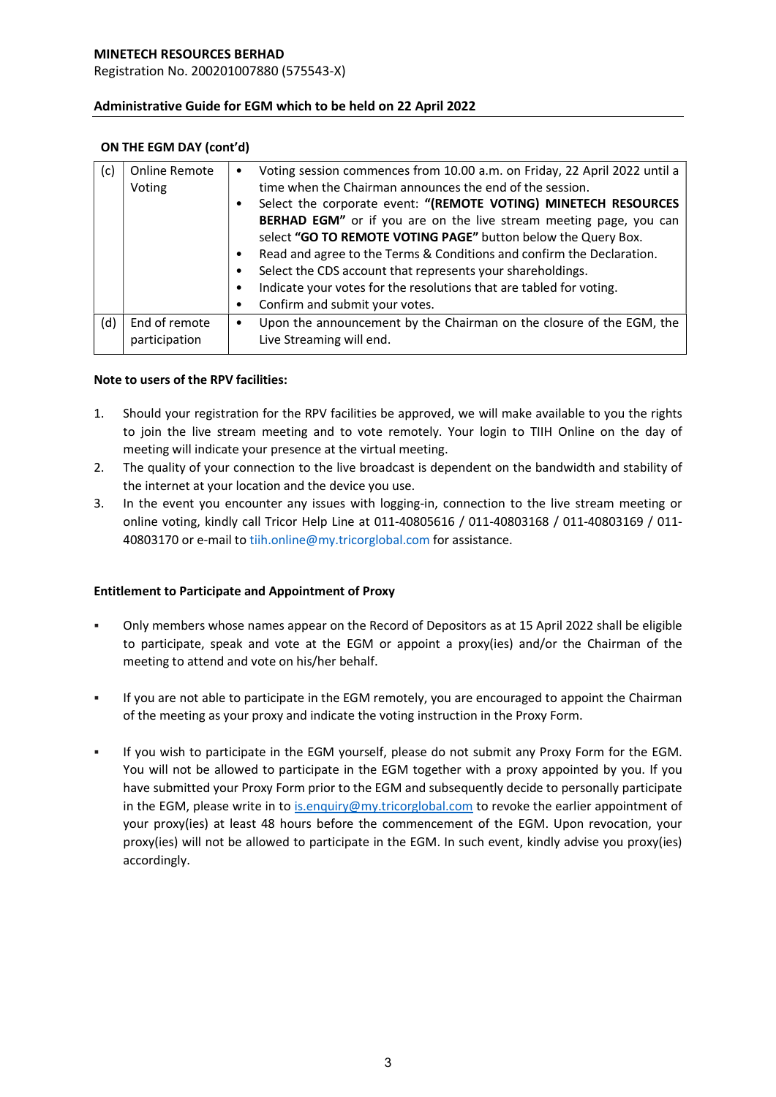Registration No. 200201007880 (575543-X)

# Administrative Guide for EGM which to be held on 22 April 2022

### ON THE EGM DAY (cont'd)

| (c) | Online Remote |           | Voting session commences from 10.00 a.m. on Friday, 22 April 2022 until a |  |  |
|-----|---------------|-----------|---------------------------------------------------------------------------|--|--|
|     | Voting        |           | time when the Chairman announces the end of the session.                  |  |  |
|     |               |           | Select the corporate event: "(REMOTE VOTING) MINETECH RESOURCES           |  |  |
|     |               |           | BERHAD EGM" or if you are on the live stream meeting page, you can        |  |  |
|     |               |           | select "GO TO REMOTE VOTING PAGE" button below the Query Box.             |  |  |
|     |               | ٠         | Read and agree to the Terms & Conditions and confirm the Declaration.     |  |  |
|     |               | ٠         | Select the CDS account that represents your shareholdings.                |  |  |
|     |               | ٠         | Indicate your votes for the resolutions that are tabled for voting.       |  |  |
|     |               |           | Confirm and submit your votes.                                            |  |  |
| (d) | End of remote | $\bullet$ | Upon the announcement by the Chairman on the closure of the EGM, the      |  |  |
|     | participation |           | Live Streaming will end.                                                  |  |  |

### Note to users of the RPV facilities:

- 1. Should your registration for the RPV facilities be approved, we will make available to you the rights to join the live stream meeting and to vote remotely. Your login to TIIH Online on the day of meeting will indicate your presence at the virtual meeting.
- 2. The quality of your connection to the live broadcast is dependent on the bandwidth and stability of the internet at your location and the device you use.
- 3. In the event you encounter any issues with logging-in, connection to the live stream meeting or online voting, kindly call Tricor Help Line at 011-40805616 / 011-40803168 / 011-40803169 / 011- 40803170 or e-mail to tiih.online@my.tricorglobal.com for assistance.

# Entitlement to Participate and Appointment of Proxy

- Only members whose names appear on the Record of Depositors as at 15 April 2022 shall be eligible to participate, speak and vote at the EGM or appoint a proxy(ies) and/or the Chairman of the meeting to attend and vote on his/her behalf.
- If you are not able to participate in the EGM remotely, you are encouraged to appoint the Chairman of the meeting as your proxy and indicate the voting instruction in the Proxy Form.
- If you wish to participate in the EGM yourself, please do not submit any Proxy Form for the EGM. You will not be allowed to participate in the EGM together with a proxy appointed by you. If you have submitted your Proxy Form prior to the EGM and subsequently decide to personally participate in the EGM, please write in to is.enquiry@my.tricorglobal.com to revoke the earlier appointment of your proxy(ies) at least 48 hours before the commencement of the EGM. Upon revocation, your proxy(ies) will not be allowed to participate in the EGM. In such event, kindly advise you proxy(ies) accordingly.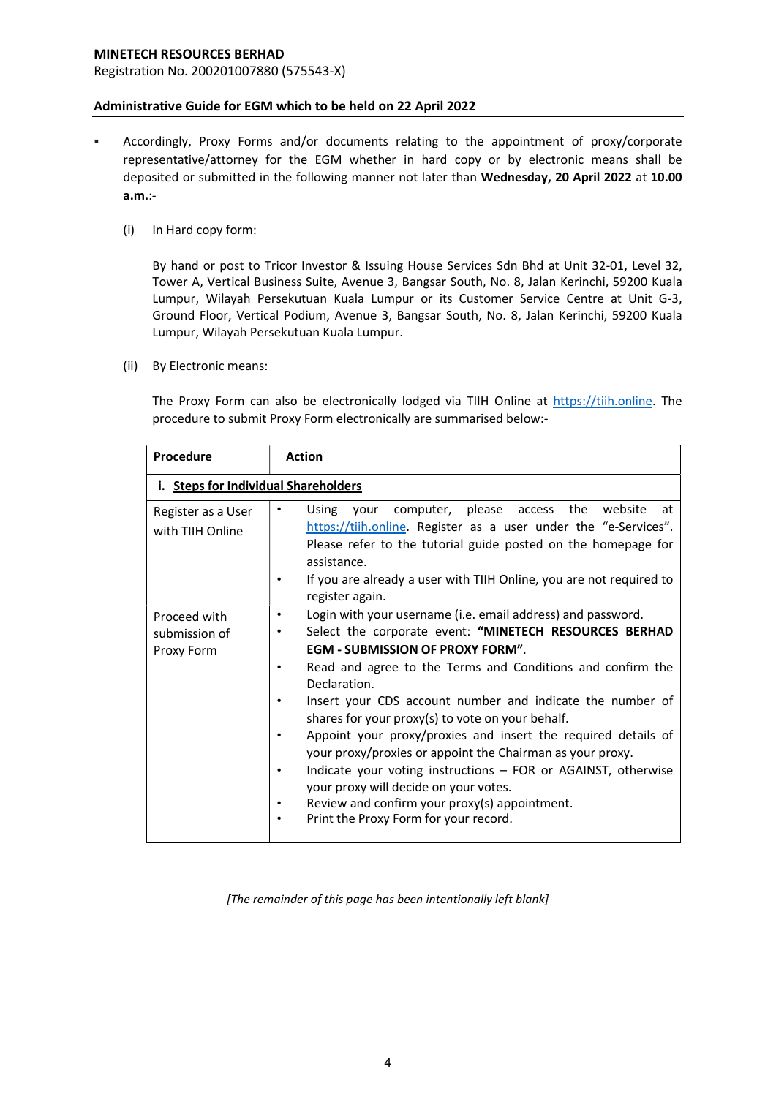Registration No. 200201007880 (575543-X)

### Administrative Guide for EGM which to be held on 22 April 2022

- Accordingly, Proxy Forms and/or documents relating to the appointment of proxy/corporate representative/attorney for the EGM whether in hard copy or by electronic means shall be deposited or submitted in the following manner not later than Wednesday, 20 April 2022 at 10.00 a.m.:-
	- (i) In Hard copy form:

By hand or post to Tricor Investor & Issuing House Services Sdn Bhd at Unit 32-01, Level 32, Tower A, Vertical Business Suite, Avenue 3, Bangsar South, No. 8, Jalan Kerinchi, 59200 Kuala Lumpur, Wilayah Persekutuan Kuala Lumpur or its Customer Service Centre at Unit G-3, Ground Floor, Vertical Podium, Avenue 3, Bangsar South, No. 8, Jalan Kerinchi, 59200 Kuala Lumpur, Wilayah Persekutuan Kuala Lumpur.

(ii) By Electronic means:

The Proxy Form can also be electronically lodged via TIIH Online at https://tiih.online. The procedure to submit Proxy Form electronically are summarised below:-

| <b>Procedure</b>                            | <b>Action</b>                                                                                                                                                                                                                                                                                                                                                                                                                                                                                                                                                                                                                                                                                     |  |
|---------------------------------------------|---------------------------------------------------------------------------------------------------------------------------------------------------------------------------------------------------------------------------------------------------------------------------------------------------------------------------------------------------------------------------------------------------------------------------------------------------------------------------------------------------------------------------------------------------------------------------------------------------------------------------------------------------------------------------------------------------|--|
| i. Steps for Individual Shareholders        |                                                                                                                                                                                                                                                                                                                                                                                                                                                                                                                                                                                                                                                                                                   |  |
| Register as a User<br>with TIIH Online      | computer, please access the<br>website<br>Using<br>vour<br>at<br>٠<br>https://tiih.online. Register as a user under the "e-Services".<br>Please refer to the tutorial guide posted on the homepage for<br>assistance.<br>If you are already a user with TIIH Online, you are not required to<br>٠<br>register again.                                                                                                                                                                                                                                                                                                                                                                              |  |
| Proceed with<br>submission of<br>Proxy Form | Login with your username (i.e. email address) and password.<br>Select the corporate event: "MINETECH RESOURCES BERHAD<br><b>EGM - SUBMISSION OF PROXY FORM".</b><br>Read and agree to the Terms and Conditions and confirm the<br>Declaration.<br>Insert your CDS account number and indicate the number of<br>shares for your proxy(s) to vote on your behalf.<br>Appoint your proxy/proxies and insert the required details of<br>your proxy/proxies or appoint the Chairman as your proxy.<br>Indicate your voting instructions - FOR or AGAINST, otherwise<br>your proxy will decide on your votes.<br>Review and confirm your proxy(s) appointment.<br>Print the Proxy Form for your record. |  |

[The remainder of this page has been intentionally left blank]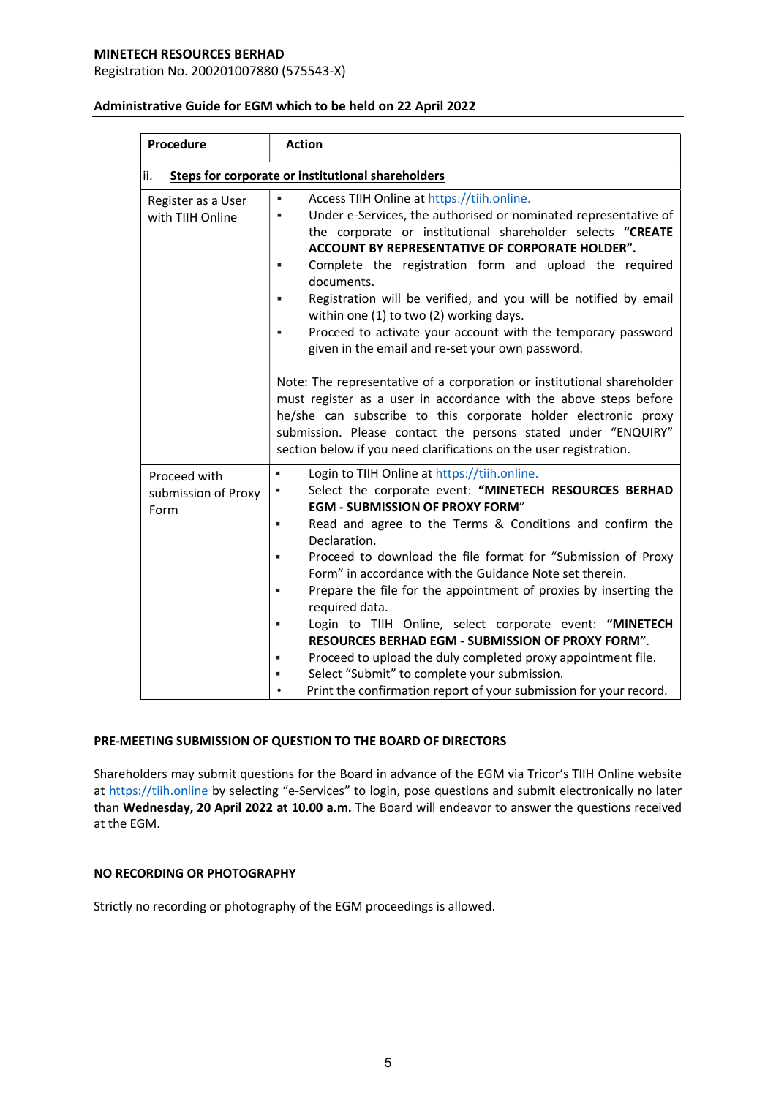Registration No. 200201007880 (575543-X)

| <b>Procedure</b>                                         | <b>Action</b>                                                                                                                                                                                                                                                                                                                                                                                                                                                                                                                                                                                                                                                                                                                                                                                                                                                                                                           |  |  |
|----------------------------------------------------------|-------------------------------------------------------------------------------------------------------------------------------------------------------------------------------------------------------------------------------------------------------------------------------------------------------------------------------------------------------------------------------------------------------------------------------------------------------------------------------------------------------------------------------------------------------------------------------------------------------------------------------------------------------------------------------------------------------------------------------------------------------------------------------------------------------------------------------------------------------------------------------------------------------------------------|--|--|
| ii.<br>Steps for corporate or institutional shareholders |                                                                                                                                                                                                                                                                                                                                                                                                                                                                                                                                                                                                                                                                                                                                                                                                                                                                                                                         |  |  |
| Register as a User<br>with TIIH Online                   | Access TIIH Online at https://tiih.online.<br>Under e-Services, the authorised or nominated representative of<br>٠<br>the corporate or institutional shareholder selects "CREATE<br><b>ACCOUNT BY REPRESENTATIVE OF CORPORATE HOLDER".</b><br>Complete the registration form and upload the required<br>٠<br>documents.<br>Registration will be verified, and you will be notified by email<br>٠<br>within one (1) to two (2) working days.<br>Proceed to activate your account with the temporary password<br>given in the email and re-set your own password.<br>Note: The representative of a corporation or institutional shareholder<br>must register as a user in accordance with the above steps before<br>he/she can subscribe to this corporate holder electronic proxy<br>submission. Please contact the persons stated under "ENQUIRY"<br>section below if you need clarifications on the user registration. |  |  |
| Proceed with<br>submission of Proxy<br>Form              | Login to TIIH Online at https://tiih.online.<br>×,<br>Select the corporate event: "MINETECH RESOURCES BERHAD<br>٠<br><b>EGM - SUBMISSION OF PROXY FORM"</b><br>Read and agree to the Terms & Conditions and confirm the<br>×,<br>Declaration.<br>Proceed to download the file format for "Submission of Proxy<br>×,<br>Form" in accordance with the Guidance Note set therein.<br>Prepare the file for the appointment of proxies by inserting the<br>×,<br>required data.<br>Login to TIIH Online, select corporate event: "MINETECH<br>п<br><b>RESOURCES BERHAD EGM - SUBMISSION OF PROXY FORM".</b><br>Proceed to upload the duly completed proxy appointment file.<br>×,<br>Select "Submit" to complete your submission.<br>٠<br>Print the confirmation report of your submission for your record.                                                                                                                  |  |  |

### Administrative Guide for EGM which to be held on 22 April 2022

# PRE-MEETING SUBMISSION OF QUESTION TO THE BOARD OF DIRECTORS

Shareholders may submit questions for the Board in advance of the EGM via Tricor's TIIH Online website at https://tiih.online by selecting "e-Services" to login, pose questions and submit electronically no later than Wednesday, 20 April 2022 at 10.00 a.m. The Board will endeavor to answer the questions received at the EGM.

# NO RECORDING OR PHOTOGRAPHY

Strictly no recording or photography of the EGM proceedings is allowed.